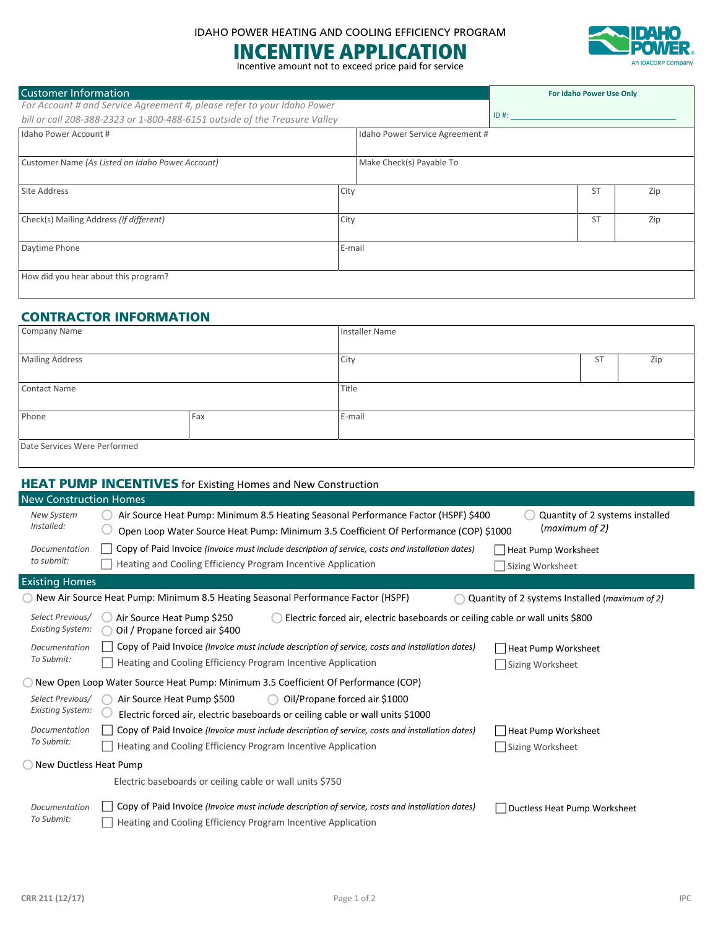# INCENTIVE APPLICATION





 $\overline{\phantom{a}}$ 

| <b>Customer Information</b>                                                |        |                                 |         | For Idaho Power Use Only |     |
|----------------------------------------------------------------------------|--------|---------------------------------|---------|--------------------------|-----|
| For Account # and Service Agreement #, please refer to your Idaho Power    |        |                                 |         |                          |     |
| bill or call 208-388-2323 or 1-800-488-6151 outside of the Treasure Valley |        |                                 | $ID#$ : |                          |     |
| Idaho Power Account #                                                      |        | Idaho Power Service Agreement # |         |                          |     |
| Customer Name (As Listed on Idaho Power Account)                           |        | Make Check(s) Payable To        |         |                          |     |
| <b>Site Address</b>                                                        | City   |                                 |         | <b>ST</b>                | Zip |
| Check(s) Mailing Address (If different)                                    | City   |                                 |         | <b>ST</b>                | Zip |
| Daytime Phone                                                              | E-mail |                                 |         |                          |     |
| How did you hear about this program?                                       |        |                                 |         |                          |     |

## CONTRACTOR INFORMATION

| <b>Company Name</b>          |     | Installer Name |    |     |
|------------------------------|-----|----------------|----|-----|
| <b>Mailing Address</b>       |     | City           | ST | Zip |
| <b>Contact Name</b>          |     | Title          |    |     |
| Phone                        | Fax | E-mail         |    |     |
| Date Services Were Performed |     |                |    |     |

|                                             | <b>HEAT PUMP INCENTIVES</b> for Existing Homes and New Construction                                                                                                         |                                                   |
|---------------------------------------------|-----------------------------------------------------------------------------------------------------------------------------------------------------------------------------|---------------------------------------------------|
| <b>New Construction Homes</b>               |                                                                                                                                                                             |                                                   |
| New System<br>Installed:                    | Air Source Heat Pump: Minimum 8.5 Heating Seasonal Performance Factor (HSPF) \$400<br>Open Loop Water Source Heat Pump: Minimum 3.5 Coefficient Of Performance (COP) \$1000 | Quantity of 2 systems installed<br>(maximum of 2) |
| Documentation<br>to submit:                 | Copy of Paid Invoice (Invoice must include description of service, costs and installation dates)<br>Heating and Cooling Efficiency Program Incentive Application            | Heat Pump Worksheet<br>Sizing Worksheet           |
| <b>Existing Homes</b>                       |                                                                                                                                                                             |                                                   |
|                                             | New Air Source Heat Pump: Minimum 8.5 Heating Seasonal Performance Factor (HSPF)                                                                                            | Quantity of 2 systems Installed (maximum of 2)    |
| Select Previous/<br><b>Existing System:</b> | Electric forced air, electric baseboards or ceiling cable or wall units \$800<br>Air Source Heat Pump \$250<br>Oil / Propane forced air \$400                               |                                                   |
| Documentation<br>To Submit:                 | Copy of Paid Invoice (Invoice must include description of service, costs and installation dates)<br>Heating and Cooling Efficiency Program Incentive Application            | Heat Pump Worksheet<br>Sizing Worksheet           |
|                                             | New Open Loop Water Source Heat Pump: Minimum 3.5 Coefficient Of Performance (COP)                                                                                          |                                                   |
| Select Previous/<br><b>Existing System:</b> | Air Source Heat Pump \$500<br>Oil/Propane forced air \$1000<br>Electric forced air, electric baseboards or ceiling cable or wall units \$1000                               |                                                   |
| Documentation<br>To Submit:                 | Copy of Paid Invoice (Invoice must include description of service, costs and installation dates)<br>Heating and Cooling Efficiency Program Incentive Application            | Heat Pump Worksheet<br>Sizing Worksheet           |
| New Ductless Heat Pump                      |                                                                                                                                                                             |                                                   |
|                                             | Electric baseboards or ceiling cable or wall units \$750                                                                                                                    |                                                   |
| Documentation<br>To Submit:                 | Copy of Paid Invoice (Invoice must include description of service, costs and installation dates)<br>Heating and Cooling Efficiency Program Incentive Application            | Ductless Heat Pump Worksheet                      |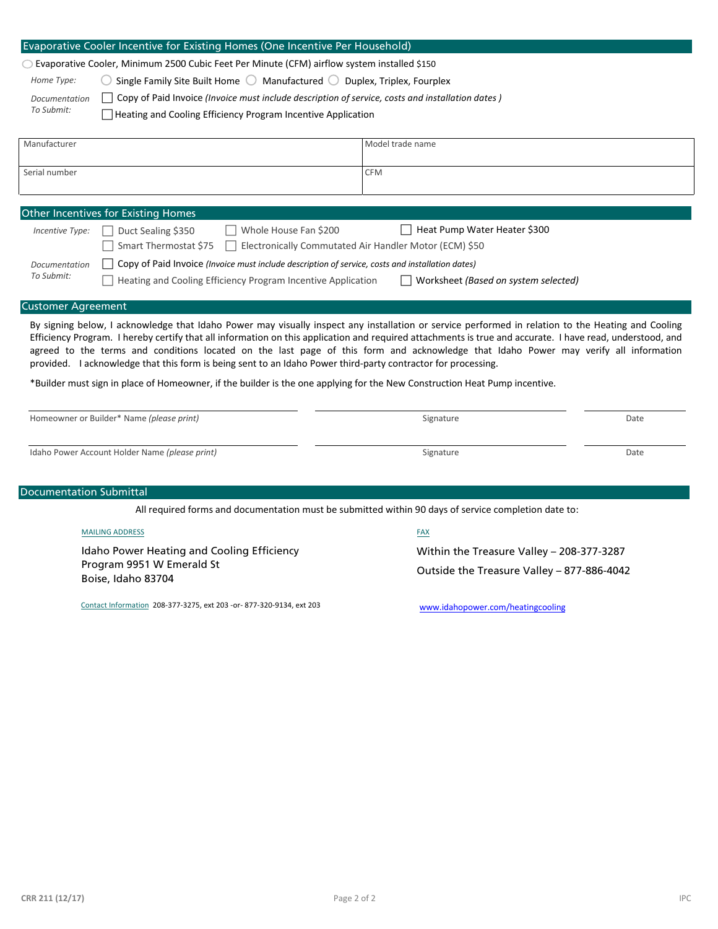|                                | $\circ$ Evaporative Cooler, Minimum 2500 Cubic Feet Per Minute (CFM) airflow system installed \$150           |                                                                                                                                                                                                                                                                                                                                                                                                                                                         |      |
|--------------------------------|---------------------------------------------------------------------------------------------------------------|---------------------------------------------------------------------------------------------------------------------------------------------------------------------------------------------------------------------------------------------------------------------------------------------------------------------------------------------------------------------------------------------------------------------------------------------------------|------|
| Home Type:                     | Single Family Site Built Home $\bigcirc$ Manufactured $\bigcirc$ Duplex, Triplex, Fourplex                    |                                                                                                                                                                                                                                                                                                                                                                                                                                                         |      |
| Documentation                  |                                                                                                               | Copy of Paid Invoice (Invoice must include description of service, costs and installation dates)                                                                                                                                                                                                                                                                                                                                                        |      |
| To Submit:                     | Heating and Cooling Efficiency Program Incentive Application                                                  |                                                                                                                                                                                                                                                                                                                                                                                                                                                         |      |
| Manufacturer                   |                                                                                                               | Model trade name                                                                                                                                                                                                                                                                                                                                                                                                                                        |      |
|                                |                                                                                                               |                                                                                                                                                                                                                                                                                                                                                                                                                                                         |      |
| Serial number                  |                                                                                                               | <b>CFM</b>                                                                                                                                                                                                                                                                                                                                                                                                                                              |      |
|                                | Other Incentives for Existing Homes                                                                           |                                                                                                                                                                                                                                                                                                                                                                                                                                                         |      |
| Incentive Type:                | Duct Sealing \$350<br>Whole House Fan \$200                                                                   | Heat Pump Water Heater \$300                                                                                                                                                                                                                                                                                                                                                                                                                            |      |
|                                | Smart Thermostat \$75                                                                                         | Electronically Commutated Air Handler Motor (ECM) \$50                                                                                                                                                                                                                                                                                                                                                                                                  |      |
| Documentation                  | Copy of Paid Invoice (Invoice must include description of service, costs and installation dates)              |                                                                                                                                                                                                                                                                                                                                                                                                                                                         |      |
|                                | Heating and Cooling Efficiency Program Incentive Application                                                  | Worksheet (Based on system selected)                                                                                                                                                                                                                                                                                                                                                                                                                    |      |
| To Submit:                     |                                                                                                               |                                                                                                                                                                                                                                                                                                                                                                                                                                                         |      |
|                                |                                                                                                               | By signing below, I acknowledge that Idaho Power may visually inspect any installation or service performed in relation to the Heating and Cooling<br>Efficiency Program. I hereby certify that all information on this application and required attachments is true and accurate. I have read, understood, and<br>agreed to the terms and conditions located on the last page of this form and acknowledge that Idaho Power may verify all information |      |
|                                | provided. I acknowledge that this form is being sent to an Idaho Power third-party contractor for processing. | *Builder must sign in place of Homeowner, if the builder is the one applying for the New Construction Heat Pump incentive.                                                                                                                                                                                                                                                                                                                              |      |
|                                | Homeowner or Builder* Name (please print)                                                                     | Signature                                                                                                                                                                                                                                                                                                                                                                                                                                               | Date |
| <b>Customer Agreement</b>      | Idaho Power Account Holder Name (please print)                                                                | Signature                                                                                                                                                                                                                                                                                                                                                                                                                                               | Date |
|                                |                                                                                                               |                                                                                                                                                                                                                                                                                                                                                                                                                                                         |      |
|                                |                                                                                                               |                                                                                                                                                                                                                                                                                                                                                                                                                                                         |      |
|                                |                                                                                                               | All required forms and documentation must be submitted within 90 days of service completion date to:                                                                                                                                                                                                                                                                                                                                                    |      |
|                                | <b>MAILING ADDRESS</b>                                                                                        | <u>FAX</u>                                                                                                                                                                                                                                                                                                                                                                                                                                              |      |
|                                |                                                                                                               |                                                                                                                                                                                                                                                                                                                                                                                                                                                         |      |
| <b>Documentation Submittal</b> | Idaho Power Heating and Cooling Efficiency<br>Program 9951 W Emerald St<br>Boise, Idaho 83704                 | Within the Treasure Valley - 208-377-3287<br>Outside the Treasure Valley - 877-886-4042                                                                                                                                                                                                                                                                                                                                                                 |      |